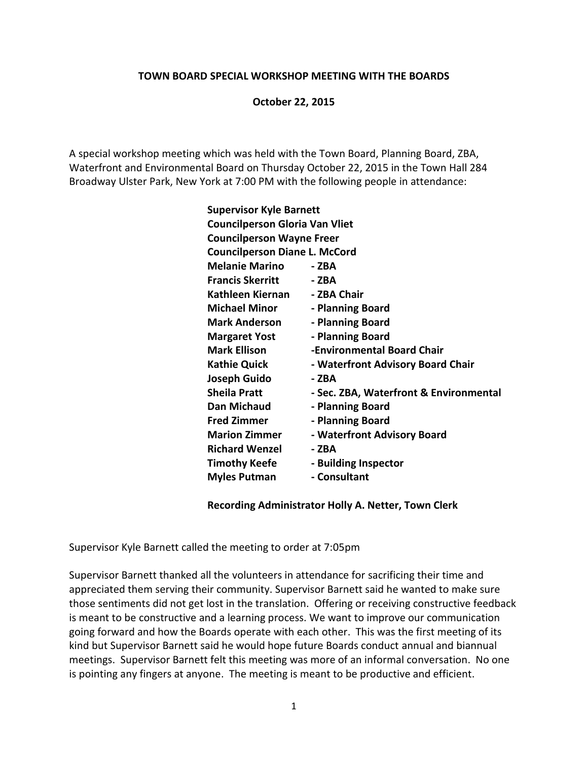## **TOWN BOARD SPECIAL WORKSHOP MEETING WITH THE BOARDS**

## **October 22, 2015**

A special workshop meeting which was held with the Town Board, Planning Board, ZBA, Waterfront and Environmental Board on Thursday October 22, 2015 in the Town Hall 284 Broadway Ulster Park, New York at 7:00 PM with the following people in attendance:

| <b>Supervisor Kyle Barnett</b>        |                                        |
|---------------------------------------|----------------------------------------|
| <b>Councilperson Gloria Van Vliet</b> |                                        |
| <b>Councilperson Wayne Freer</b>      |                                        |
| <b>Councilperson Diane L. McCord</b>  |                                        |
| <b>Melanie Marino</b>                 | - ZBA                                  |
| <b>Francis Skerritt</b>               | - ZBA                                  |
| Kathleen Kiernan                      | - ZBA Chair                            |
| <b>Michael Minor</b>                  | - Planning Board                       |
| <b>Mark Anderson</b>                  | - Planning Board                       |
| <b>Margaret Yost</b>                  | - Planning Board                       |
| <b>Mark Ellison</b>                   | -Environmental Board Chair             |
| <b>Kathie Quick</b>                   | - Waterfront Advisory Board Chair      |
| Joseph Guido                          | - ZBA                                  |
| <b>Sheila Pratt</b>                   | - Sec. ZBA, Waterfront & Environmental |
| Dan Michaud                           | - Planning Board                       |
| <b>Fred Zimmer</b>                    | - Planning Board                       |
| <b>Marion Zimmer</b>                  | - Waterfront Advisory Board            |
| <b>Richard Wenzel</b>                 | - ZBA                                  |
| <b>Timothy Keefe</b>                  | - Building Inspector                   |
| <b>Myles Putman</b>                   | - Consultant                           |

## **Recording Administrator Holly A. Netter, Town Clerk**

Supervisor Kyle Barnett called the meeting to order at 7:05pm

Supervisor Barnett thanked all the volunteers in attendance for sacrificing their time and appreciated them serving their community. Supervisor Barnett said he wanted to make sure those sentiments did not get lost in the translation. Offering or receiving constructive feedback is meant to be constructive and a learning process. We want to improve our communication going forward and how the Boards operate with each other. This was the first meeting of its kind but Supervisor Barnett said he would hope future Boards conduct annual and biannual meetings. Supervisor Barnett felt this meeting was more of an informal conversation. No one is pointing any fingers at anyone. The meeting is meant to be productive and efficient.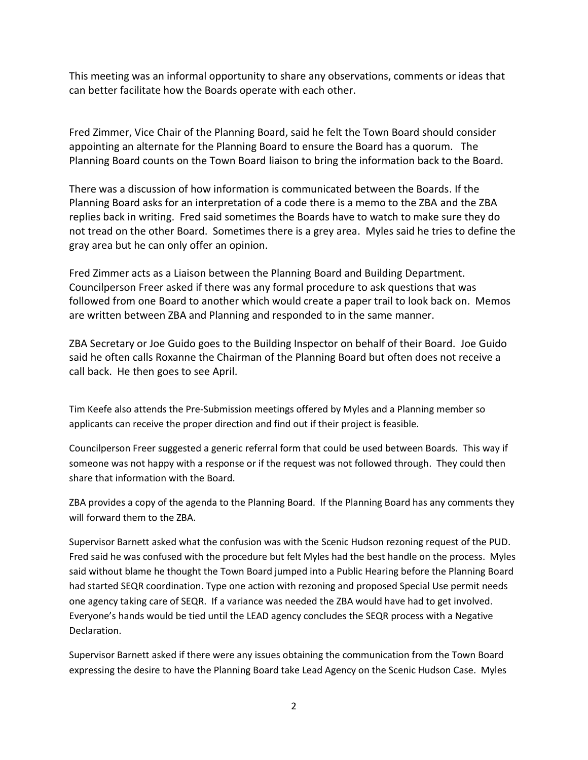This meeting was an informal opportunity to share any observations, comments or ideas that can better facilitate how the Boards operate with each other.

Fred Zimmer, Vice Chair of the Planning Board, said he felt the Town Board should consider appointing an alternate for the Planning Board to ensure the Board has a quorum. The Planning Board counts on the Town Board liaison to bring the information back to the Board.

There was a discussion of how information is communicated between the Boards. If the Planning Board asks for an interpretation of a code there is a memo to the ZBA and the ZBA replies back in writing. Fred said sometimes the Boards have to watch to make sure they do not tread on the other Board. Sometimes there is a grey area. Myles said he tries to define the gray area but he can only offer an opinion.

Fred Zimmer acts as a Liaison between the Planning Board and Building Department. Councilperson Freer asked if there was any formal procedure to ask questions that was followed from one Board to another which would create a paper trail to look back on. Memos are written between ZBA and Planning and responded to in the same manner.

ZBA Secretary or Joe Guido goes to the Building Inspector on behalf of their Board. Joe Guido said he often calls Roxanne the Chairman of the Planning Board but often does not receive a call back. He then goes to see April.

Tim Keefe also attends the Pre-Submission meetings offered by Myles and a Planning member so applicants can receive the proper direction and find out if their project is feasible.

Councilperson Freer suggested a generic referral form that could be used between Boards. This way if someone was not happy with a response or if the request was not followed through. They could then share that information with the Board.

ZBA provides a copy of the agenda to the Planning Board. If the Planning Board has any comments they will forward them to the ZBA.

Supervisor Barnett asked what the confusion was with the Scenic Hudson rezoning request of the PUD. Fred said he was confused with the procedure but felt Myles had the best handle on the process. Myles said without blame he thought the Town Board jumped into a Public Hearing before the Planning Board had started SEQR coordination. Type one action with rezoning and proposed Special Use permit needs one agency taking care of SEQR. If a variance was needed the ZBA would have had to get involved. Everyone's hands would be tied until the LEAD agency concludes the SEQR process with a Negative Declaration.

Supervisor Barnett asked if there were any issues obtaining the communication from the Town Board expressing the desire to have the Planning Board take Lead Agency on the Scenic Hudson Case. Myles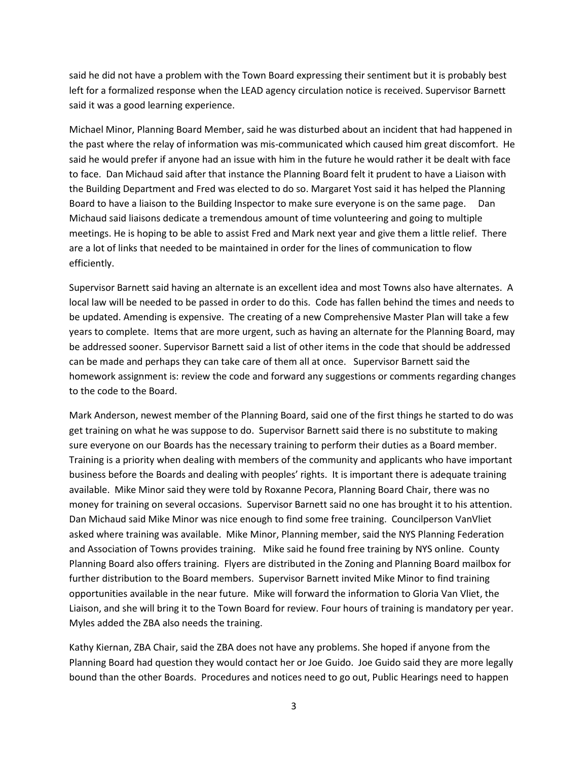said he did not have a problem with the Town Board expressing their sentiment but it is probably best left for a formalized response when the LEAD agency circulation notice is received. Supervisor Barnett said it was a good learning experience.

Michael Minor, Planning Board Member, said he was disturbed about an incident that had happened in the past where the relay of information was mis-communicated which caused him great discomfort. He said he would prefer if anyone had an issue with him in the future he would rather it be dealt with face to face. Dan Michaud said after that instance the Planning Board felt it prudent to have a Liaison with the Building Department and Fred was elected to do so. Margaret Yost said it has helped the Planning Board to have a liaison to the Building Inspector to make sure everyone is on the same page. Dan Michaud said liaisons dedicate a tremendous amount of time volunteering and going to multiple meetings. He is hoping to be able to assist Fred and Mark next year and give them a little relief. There are a lot of links that needed to be maintained in order for the lines of communication to flow efficiently.

Supervisor Barnett said having an alternate is an excellent idea and most Towns also have alternates. A local law will be needed to be passed in order to do this. Code has fallen behind the times and needs to be updated. Amending is expensive. The creating of a new Comprehensive Master Plan will take a few years to complete. Items that are more urgent, such as having an alternate for the Planning Board, may be addressed sooner. Supervisor Barnett said a list of other items in the code that should be addressed can be made and perhaps they can take care of them all at once. Supervisor Barnett said the homework assignment is: review the code and forward any suggestions or comments regarding changes to the code to the Board.

Mark Anderson, newest member of the Planning Board, said one of the first things he started to do was get training on what he was suppose to do. Supervisor Barnett said there is no substitute to making sure everyone on our Boards has the necessary training to perform their duties as a Board member. Training is a priority when dealing with members of the community and applicants who have important business before the Boards and dealing with peoples' rights. It is important there is adequate training available. Mike Minor said they were told by Roxanne Pecora, Planning Board Chair, there was no money for training on several occasions. Supervisor Barnett said no one has brought it to his attention. Dan Michaud said Mike Minor was nice enough to find some free training. Councilperson VanVliet asked where training was available. Mike Minor, Planning member, said the NYS Planning Federation and Association of Towns provides training. Mike said he found free training by NYS online. County Planning Board also offers training. Flyers are distributed in the Zoning and Planning Board mailbox for further distribution to the Board members. Supervisor Barnett invited Mike Minor to find training opportunities available in the near future. Mike will forward the information to Gloria Van Vliet, the Liaison, and she will bring it to the Town Board for review. Four hours of training is mandatory per year. Myles added the ZBA also needs the training.

Kathy Kiernan, ZBA Chair, said the ZBA does not have any problems. She hoped if anyone from the Planning Board had question they would contact her or Joe Guido. Joe Guido said they are more legally bound than the other Boards. Procedures and notices need to go out, Public Hearings need to happen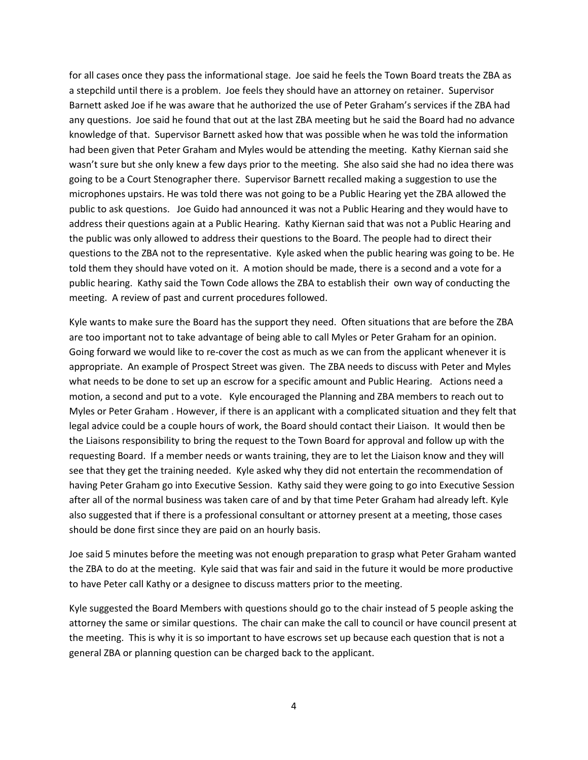for all cases once they pass the informational stage. Joe said he feels the Town Board treats the ZBA as a stepchild until there is a problem. Joe feels they should have an attorney on retainer. Supervisor Barnett asked Joe if he was aware that he authorized the use of Peter Graham's services if the ZBA had any questions. Joe said he found that out at the last ZBA meeting but he said the Board had no advance knowledge of that. Supervisor Barnett asked how that was possible when he was told the information had been given that Peter Graham and Myles would be attending the meeting. Kathy Kiernan said she wasn't sure but she only knew a few days prior to the meeting. She also said she had no idea there was going to be a Court Stenographer there. Supervisor Barnett recalled making a suggestion to use the microphones upstairs. He was told there was not going to be a Public Hearing yet the ZBA allowed the public to ask questions. Joe Guido had announced it was not a Public Hearing and they would have to address their questions again at a Public Hearing. Kathy Kiernan said that was not a Public Hearing and the public was only allowed to address their questions to the Board. The people had to direct their questions to the ZBA not to the representative. Kyle asked when the public hearing was going to be. He told them they should have voted on it. A motion should be made, there is a second and a vote for a public hearing. Kathy said the Town Code allows the ZBA to establish their own way of conducting the meeting. A review of past and current procedures followed.

Kyle wants to make sure the Board has the support they need. Often situations that are before the ZBA are too important not to take advantage of being able to call Myles or Peter Graham for an opinion. Going forward we would like to re-cover the cost as much as we can from the applicant whenever it is appropriate. An example of Prospect Street was given. The ZBA needs to discuss with Peter and Myles what needs to be done to set up an escrow for a specific amount and Public Hearing. Actions need a motion, a second and put to a vote. Kyle encouraged the Planning and ZBA members to reach out to Myles or Peter Graham . However, if there is an applicant with a complicated situation and they felt that legal advice could be a couple hours of work, the Board should contact their Liaison. It would then be the Liaisons responsibility to bring the request to the Town Board for approval and follow up with the requesting Board. If a member needs or wants training, they are to let the Liaison know and they will see that they get the training needed. Kyle asked why they did not entertain the recommendation of having Peter Graham go into Executive Session. Kathy said they were going to go into Executive Session after all of the normal business was taken care of and by that time Peter Graham had already left. Kyle also suggested that if there is a professional consultant or attorney present at a meeting, those cases should be done first since they are paid on an hourly basis.

Joe said 5 minutes before the meeting was not enough preparation to grasp what Peter Graham wanted the ZBA to do at the meeting. Kyle said that was fair and said in the future it would be more productive to have Peter call Kathy or a designee to discuss matters prior to the meeting.

Kyle suggested the Board Members with questions should go to the chair instead of 5 people asking the attorney the same or similar questions. The chair can make the call to council or have council present at the meeting. This is why it is so important to have escrows set up because each question that is not a general ZBA or planning question can be charged back to the applicant.

4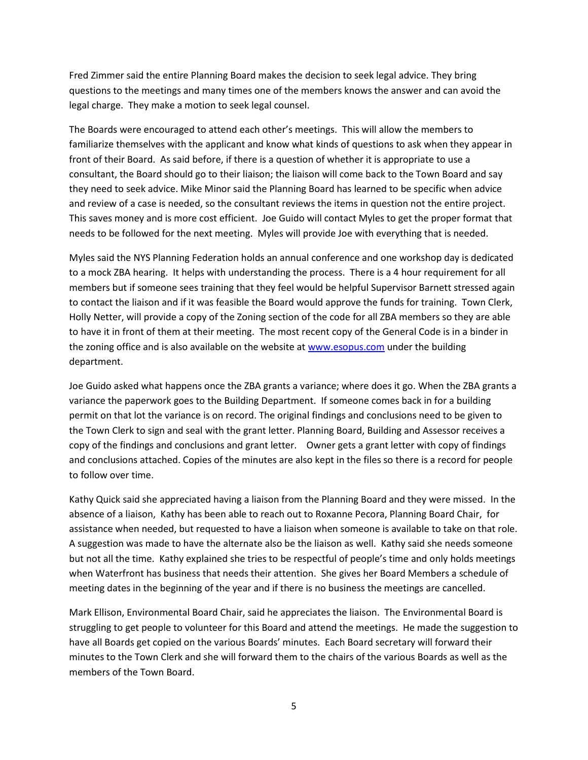Fred Zimmer said the entire Planning Board makes the decision to seek legal advice. They bring questions to the meetings and many times one of the members knows the answer and can avoid the legal charge. They make a motion to seek legal counsel.

The Boards were encouraged to attend each other's meetings. This will allow the members to familiarize themselves with the applicant and know what kinds of questions to ask when they appear in front of their Board. As said before, if there is a question of whether it is appropriate to use a consultant, the Board should go to their liaison; the liaison will come back to the Town Board and say they need to seek advice. Mike Minor said the Planning Board has learned to be specific when advice and review of a case is needed, so the consultant reviews the items in question not the entire project. This saves money and is more cost efficient. Joe Guido will contact Myles to get the proper format that needs to be followed for the next meeting. Myles will provide Joe with everything that is needed.

Myles said the NYS Planning Federation holds an annual conference and one workshop day is dedicated to a mock ZBA hearing. It helps with understanding the process. There is a 4 hour requirement for all members but if someone sees training that they feel would be helpful Supervisor Barnett stressed again to contact the liaison and if it was feasible the Board would approve the funds for training. Town Clerk, Holly Netter, will provide a copy of the Zoning section of the code for all ZBA members so they are able to have it in front of them at their meeting. The most recent copy of the General Code is in a binder in the zoning office and is also available on the website a[t www.esopus.com](http://www.esopus.com/) under the building department.

Joe Guido asked what happens once the ZBA grants a variance; where does it go. When the ZBA grants a variance the paperwork goes to the Building Department. If someone comes back in for a building permit on that lot the variance is on record. The original findings and conclusions need to be given to the Town Clerk to sign and seal with the grant letter. Planning Board, Building and Assessor receives a copy of the findings and conclusions and grant letter. Owner gets a grant letter with copy of findings and conclusions attached. Copies of the minutes are also kept in the files so there is a record for people to follow over time.

Kathy Quick said she appreciated having a liaison from the Planning Board and they were missed. In the absence of a liaison, Kathy has been able to reach out to Roxanne Pecora, Planning Board Chair, for assistance when needed, but requested to have a liaison when someone is available to take on that role. A suggestion was made to have the alternate also be the liaison as well. Kathy said she needs someone but not all the time. Kathy explained she tries to be respectful of people's time and only holds meetings when Waterfront has business that needs their attention. She gives her Board Members a schedule of meeting dates in the beginning of the year and if there is no business the meetings are cancelled.

Mark Ellison, Environmental Board Chair, said he appreciates the liaison. The Environmental Board is struggling to get people to volunteer for this Board and attend the meetings. He made the suggestion to have all Boards get copied on the various Boards' minutes. Each Board secretary will forward their minutes to the Town Clerk and she will forward them to the chairs of the various Boards as well as the members of the Town Board.